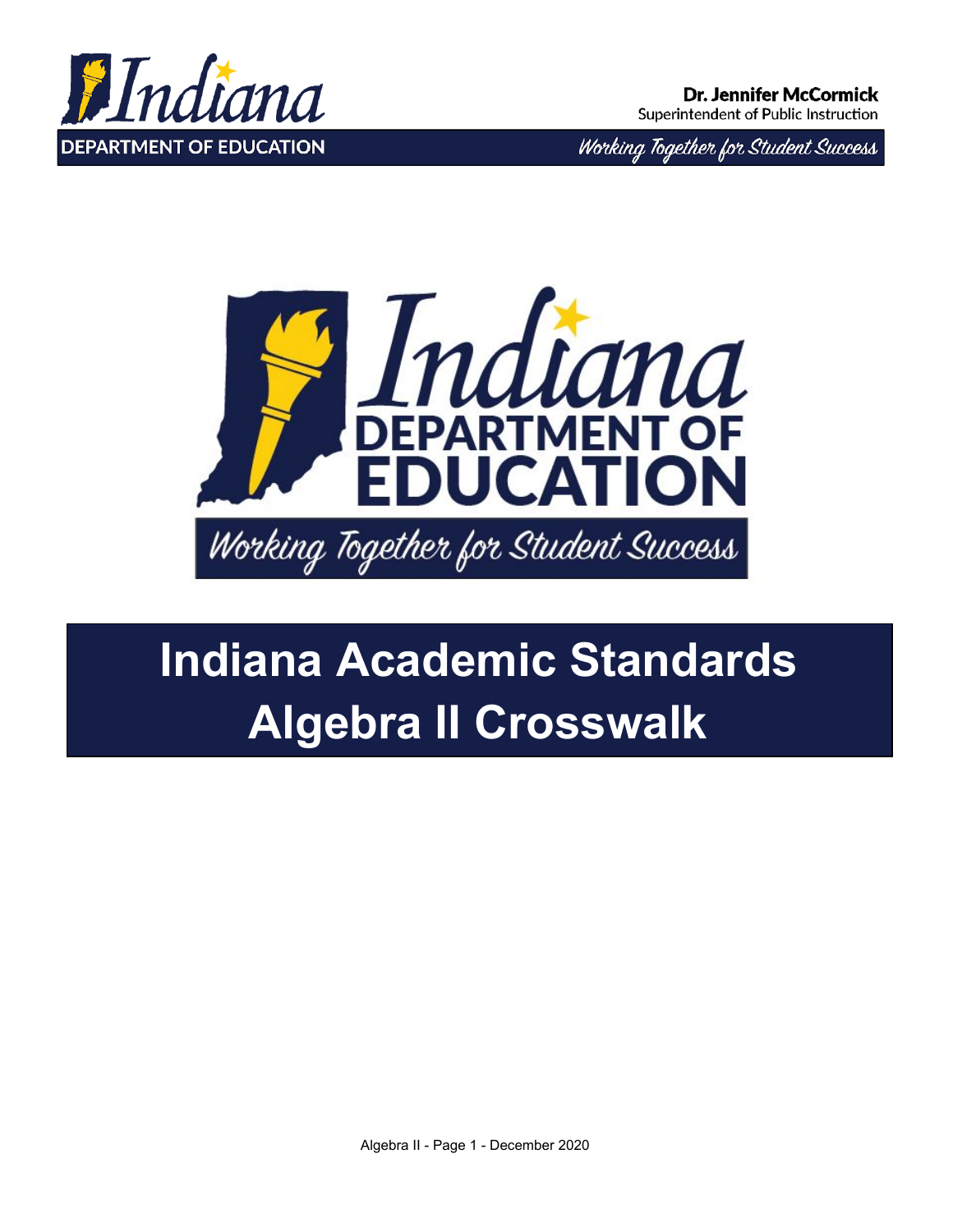

Working Together for Student Success



# **Indiana Academic Standards Algebra II Crosswalk**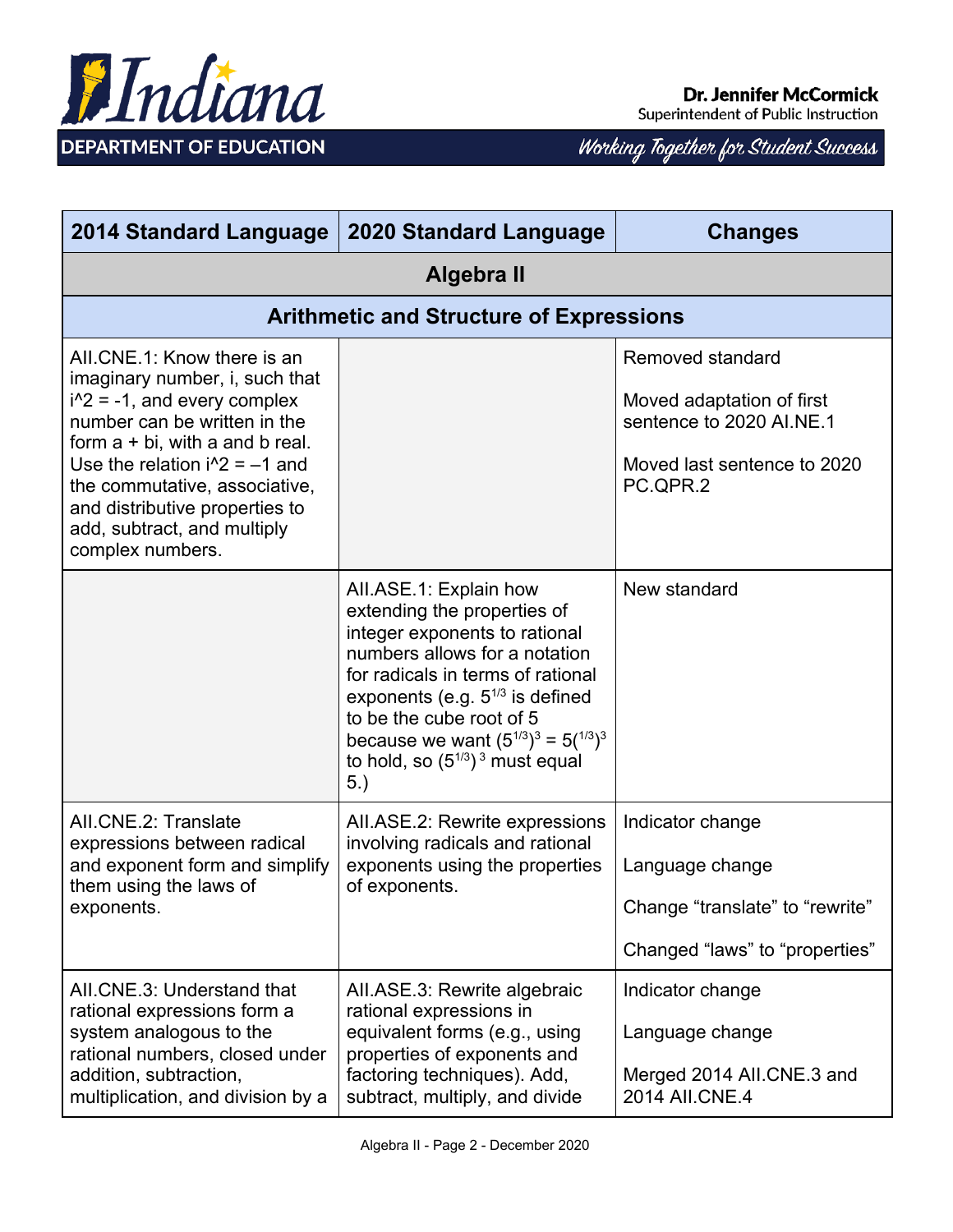

| 2014 Standard Language                                                                                                                                                                                                                                                                                                        | <b>2020 Standard Language</b>                                                                                                                                                                                                                                                                                                  | <b>Changes</b>                                                                                                       |
|-------------------------------------------------------------------------------------------------------------------------------------------------------------------------------------------------------------------------------------------------------------------------------------------------------------------------------|--------------------------------------------------------------------------------------------------------------------------------------------------------------------------------------------------------------------------------------------------------------------------------------------------------------------------------|----------------------------------------------------------------------------------------------------------------------|
| Algebra II                                                                                                                                                                                                                                                                                                                    |                                                                                                                                                                                                                                                                                                                                |                                                                                                                      |
|                                                                                                                                                                                                                                                                                                                               | <b>Arithmetic and Structure of Expressions</b>                                                                                                                                                                                                                                                                                 |                                                                                                                      |
| AII.CNE.1: Know there is an<br>imaginary number, i, such that<br>$i^2$ = -1, and every complex<br>number can be written in the<br>form $a + bi$ , with a and b real.<br>Use the relation $i^2 = -1$ and<br>the commutative, associative,<br>and distributive properties to<br>add, subtract, and multiply<br>complex numbers. |                                                                                                                                                                                                                                                                                                                                | Removed standard<br>Moved adaptation of first<br>sentence to 2020 AI.NE.1<br>Moved last sentence to 2020<br>PC.QPR.2 |
|                                                                                                                                                                                                                                                                                                                               | All.ASE.1: Explain how<br>extending the properties of<br>integer exponents to rational<br>numbers allows for a notation<br>for radicals in terms of rational<br>exponents (e.g. $5^{1/3}$ is defined<br>to be the cube root of 5<br>because we want $(5^{1/3})^3 = 5(^{1/3})^3$<br>to hold, so $(5^{1/3})^3$ must equal<br>5.) | New standard                                                                                                         |
| AII.CNE.2: Translate<br>expressions between radical<br>and exponent form and simplify<br>them using the laws of<br>exponents.                                                                                                                                                                                                 | AII.ASE.2: Rewrite expressions<br>involving radicals and rational<br>exponents using the properties<br>of exponents.                                                                                                                                                                                                           | Indicator change<br>Language change<br>Change "translate" to "rewrite"<br>Changed "laws" to "properties"             |
| AII.CNE.3: Understand that<br>rational expressions form a<br>system analogous to the<br>rational numbers, closed under<br>addition, subtraction,<br>multiplication, and division by a                                                                                                                                         | AII.ASE.3: Rewrite algebraic<br>rational expressions in<br>equivalent forms (e.g., using<br>properties of exponents and<br>factoring techniques). Add,<br>subtract, multiply, and divide                                                                                                                                       | Indicator change<br>Language change<br>Merged 2014 All.CNE.3 and<br>2014 AII.CNE.4                                   |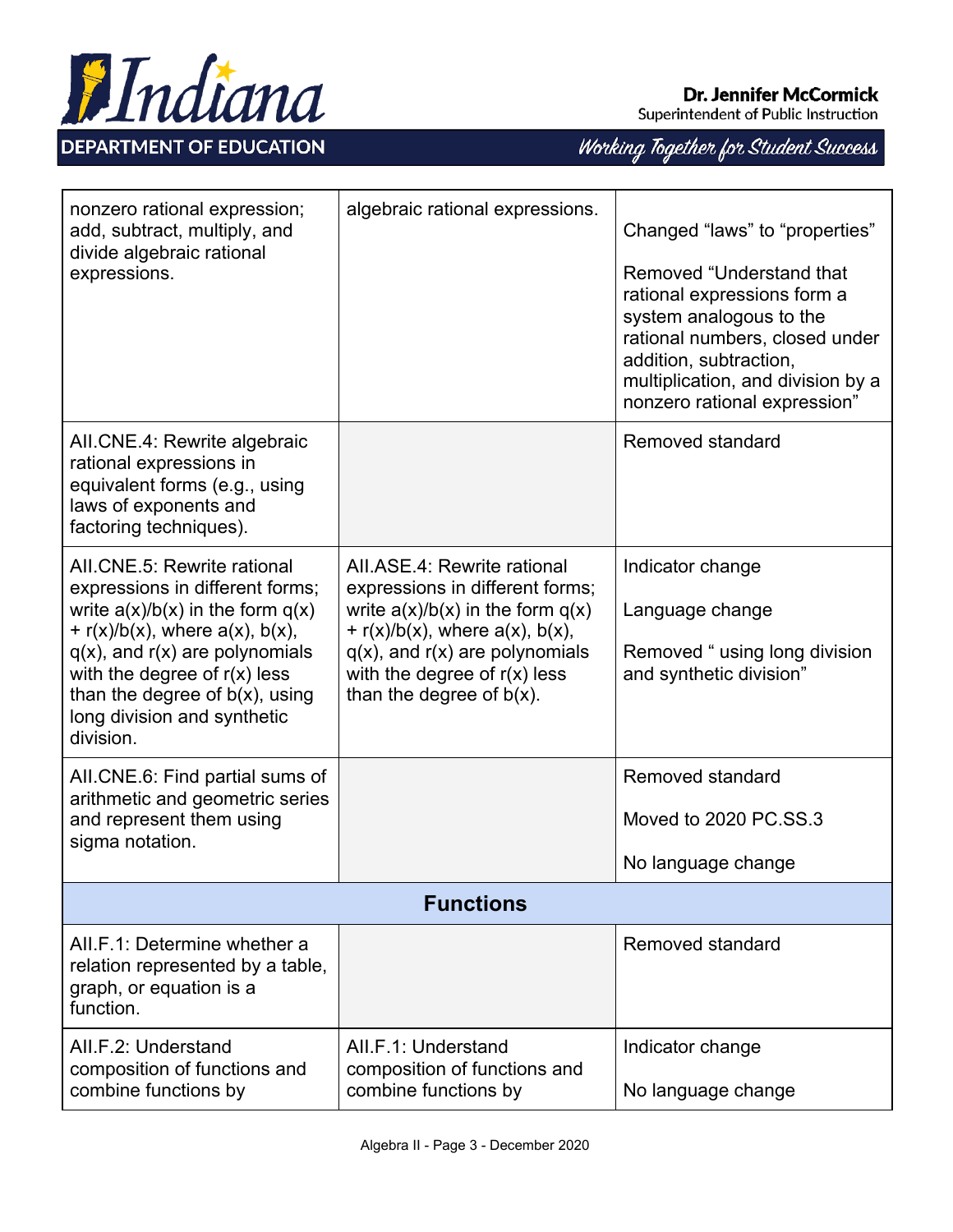

Superintendent of Public Instruction

| nonzero rational expression;<br>add, subtract, multiply, and<br>divide algebraic rational<br>expressions.                                                                                                                                                                                                   | algebraic rational expressions.                                                                                                                                                                                                                           | Changed "laws" to "properties"<br>Removed "Understand that<br>rational expressions form a<br>system analogous to the<br>rational numbers, closed under<br>addition, subtraction,<br>multiplication, and division by a<br>nonzero rational expression" |
|-------------------------------------------------------------------------------------------------------------------------------------------------------------------------------------------------------------------------------------------------------------------------------------------------------------|-----------------------------------------------------------------------------------------------------------------------------------------------------------------------------------------------------------------------------------------------------------|-------------------------------------------------------------------------------------------------------------------------------------------------------------------------------------------------------------------------------------------------------|
| AII.CNE.4: Rewrite algebraic<br>rational expressions in<br>equivalent forms (e.g., using<br>laws of exponents and<br>factoring techniques).                                                                                                                                                                 |                                                                                                                                                                                                                                                           | Removed standard                                                                                                                                                                                                                                      |
| AII.CNE.5: Rewrite rational<br>expressions in different forms;<br>write $a(x)/b(x)$ in the form $q(x)$<br>+ $r(x)/b(x)$ , where $a(x)$ , $b(x)$ ,<br>$q(x)$ , and $r(x)$ are polynomials<br>with the degree of $r(x)$ less<br>than the degree of $b(x)$ , using<br>long division and synthetic<br>division. | All.ASE.4: Rewrite rational<br>expressions in different forms;<br>write $a(x)/b(x)$ in the form $q(x)$<br>+ $r(x)/b(x)$ , where $a(x)$ , $b(x)$ ,<br>$q(x)$ , and $r(x)$ are polynomials<br>with the degree of $r(x)$ less<br>than the degree of $b(x)$ . | Indicator change<br>Language change<br>Removed " using long division<br>and synthetic division"                                                                                                                                                       |
| AII.CNE.6: Find partial sums of<br>arithmetic and geometric series<br>and represent them using<br>sigma notation.                                                                                                                                                                                           |                                                                                                                                                                                                                                                           | Removed standard<br>Moved to 2020 PC.SS.3<br>No language change                                                                                                                                                                                       |
|                                                                                                                                                                                                                                                                                                             | <b>Functions</b>                                                                                                                                                                                                                                          |                                                                                                                                                                                                                                                       |
| AII.F.1: Determine whether a<br>relation represented by a table,<br>graph, or equation is a<br>function.                                                                                                                                                                                                    |                                                                                                                                                                                                                                                           | Removed standard                                                                                                                                                                                                                                      |
| All F.2: Understand<br>composition of functions and<br>combine functions by                                                                                                                                                                                                                                 | AII.F.1: Understand<br>composition of functions and<br>combine functions by                                                                                                                                                                               | Indicator change<br>No language change                                                                                                                                                                                                                |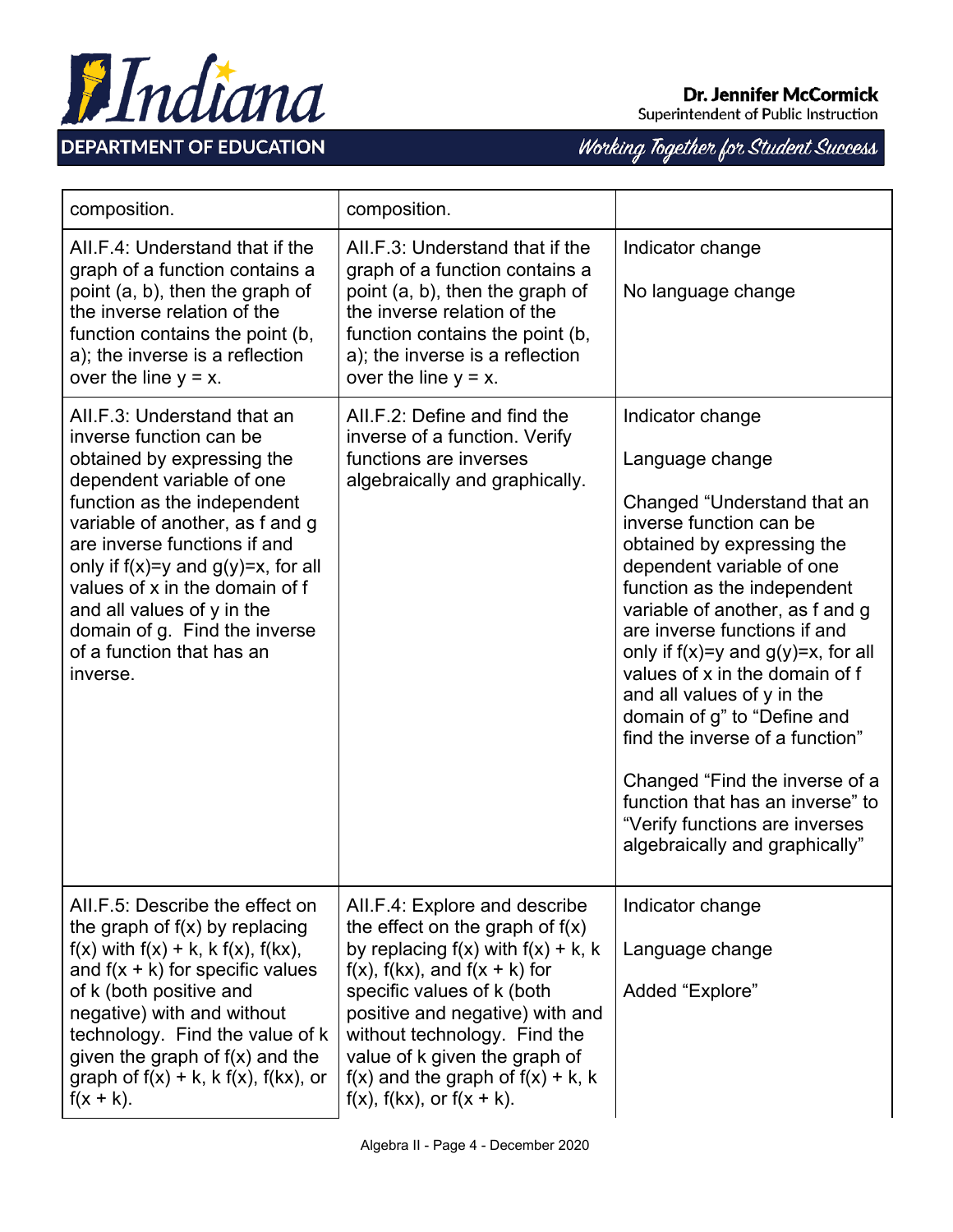



| composition.                                                                                                                                                                                                                                                                                                                                                                                             | composition.                                                                                                                                                                                                                                                                                                                                                             |                                                                                                                                                                                                                                                                                                                                                                                                                                                                                                                                                                                   |
|----------------------------------------------------------------------------------------------------------------------------------------------------------------------------------------------------------------------------------------------------------------------------------------------------------------------------------------------------------------------------------------------------------|--------------------------------------------------------------------------------------------------------------------------------------------------------------------------------------------------------------------------------------------------------------------------------------------------------------------------------------------------------------------------|-----------------------------------------------------------------------------------------------------------------------------------------------------------------------------------------------------------------------------------------------------------------------------------------------------------------------------------------------------------------------------------------------------------------------------------------------------------------------------------------------------------------------------------------------------------------------------------|
| AILF 4: Understand that if the<br>graph of a function contains a<br>point (a, b), then the graph of<br>the inverse relation of the<br>function contains the point (b,<br>a), the inverse is a reflection<br>over the line $y = x$ .                                                                                                                                                                      | AII F.3: Understand that if the<br>graph of a function contains a<br>point (a, b), then the graph of<br>the inverse relation of the<br>function contains the point (b,<br>a); the inverse is a reflection<br>over the line $y = x$ .                                                                                                                                     | Indicator change<br>No language change                                                                                                                                                                                                                                                                                                                                                                                                                                                                                                                                            |
| AII.F.3: Understand that an<br>inverse function can be<br>obtained by expressing the<br>dependent variable of one<br>function as the independent<br>variable of another, as f and g<br>are inverse functions if and<br>only if $f(x)=y$ and $g(y)=x$ , for all<br>values of x in the domain of f<br>and all values of y in the<br>domain of g. Find the inverse<br>of a function that has an<br>inverse. | All.F.2: Define and find the<br>inverse of a function. Verify<br>functions are inverses<br>algebraically and graphically.                                                                                                                                                                                                                                                | Indicator change<br>Language change<br>Changed "Understand that an<br>inverse function can be<br>obtained by expressing the<br>dependent variable of one<br>function as the independent<br>variable of another, as f and g<br>are inverse functions if and<br>only if $f(x)=y$ and $g(y)=x$ , for all<br>values of x in the domain of f<br>and all values of y in the<br>domain of g" to "Define and<br>find the inverse of a function"<br>Changed "Find the inverse of a<br>function that has an inverse" to<br>"Verify functions are inverses<br>algebraically and graphically" |
| AII.F.5: Describe the effect on<br>the graph of $f(x)$ by replacing<br>$f(x)$ with $f(x) + k$ , k $f(x)$ , $f(kx)$ ,<br>and $f(x + k)$ for specific values<br>of k (both positive and<br>negative) with and without<br>technology. Find the value of k<br>given the graph of $f(x)$ and the<br>graph of $f(x) + k$ , k $f(x)$ , $f(kx)$ , or<br>$f(x + k)$ .                                             | AII.F.4: Explore and describe<br>the effect on the graph of $f(x)$<br>by replacing $f(x)$ with $f(x) + k$ , k<br>$f(x)$ , $f(kx)$ , and $f(x + k)$ for<br>specific values of k (both<br>positive and negative) with and<br>without technology. Find the<br>value of k given the graph of<br>$f(x)$ and the graph of $f(x) + k$ , k<br>$f(x)$ , $f(kx)$ , or $f(x + k)$ . | Indicator change<br>Language change<br>Added "Explore"                                                                                                                                                                                                                                                                                                                                                                                                                                                                                                                            |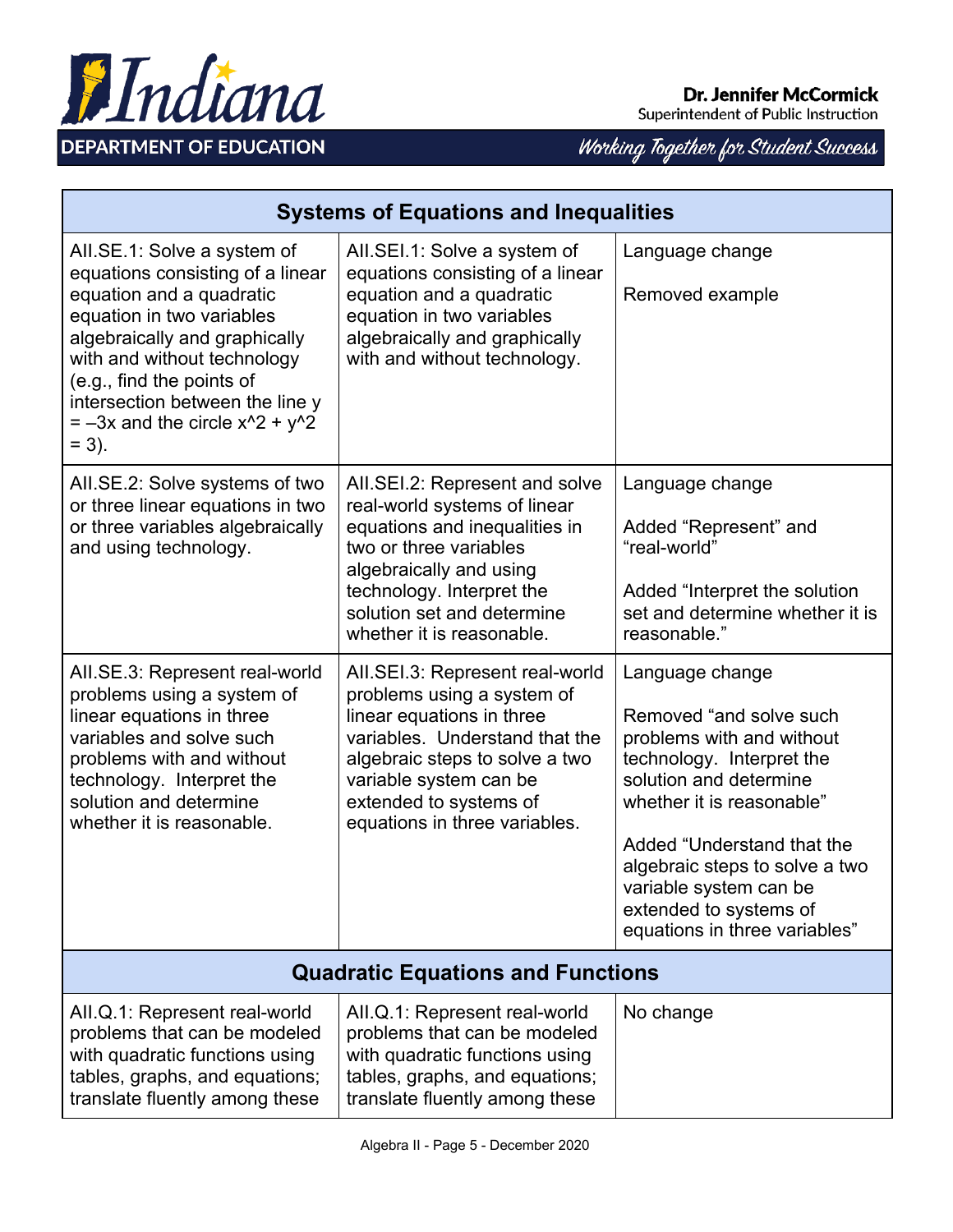

# Working Together for Student Success

| <b>Systems of Equations and Inequalities</b>                                                                                                                                                                                                                                                                 |                                                                                                                                                                                                                                                     |                                                                                                                                                                                                                                                                                                                  |
|--------------------------------------------------------------------------------------------------------------------------------------------------------------------------------------------------------------------------------------------------------------------------------------------------------------|-----------------------------------------------------------------------------------------------------------------------------------------------------------------------------------------------------------------------------------------------------|------------------------------------------------------------------------------------------------------------------------------------------------------------------------------------------------------------------------------------------------------------------------------------------------------------------|
| All.SE.1: Solve a system of<br>equations consisting of a linear<br>equation and a quadratic<br>equation in two variables<br>algebraically and graphically<br>with and without technology<br>(e.g., find the points of<br>intersection between the line y<br>$=$ -3x and the circle $x^2$ + $y^2$<br>$= 3$ ). | AII.SEI.1: Solve a system of<br>equations consisting of a linear<br>equation and a quadratic<br>equation in two variables<br>algebraically and graphically<br>with and without technology.                                                          | Language change<br>Removed example                                                                                                                                                                                                                                                                               |
| AII.SE.2: Solve systems of two<br>or three linear equations in two<br>or three variables algebraically<br>and using technology.                                                                                                                                                                              | All.SEI.2: Represent and solve<br>real-world systems of linear<br>equations and inequalities in<br>two or three variables<br>algebraically and using<br>technology. Interpret the<br>solution set and determine<br>whether it is reasonable.        | Language change<br>Added "Represent" and<br>"real-world"<br>Added "Interpret the solution"<br>set and determine whether it is<br>reasonable."                                                                                                                                                                    |
| AII.SE.3: Represent real-world<br>problems using a system of<br>linear equations in three<br>variables and solve such<br>problems with and without<br>technology. Interpret the<br>solution and determine<br>whether it is reasonable.                                                                       | AII.SEI.3: Represent real-world<br>problems using a system of<br>linear equations in three<br>variables. Understand that the<br>algebraic steps to solve a two<br>variable system can be<br>extended to systems of<br>equations in three variables. | Language change<br>Removed "and solve such<br>problems with and without<br>technology. Interpret the<br>solution and determine<br>whether it is reasonable"<br>Added "Understand that the<br>algebraic steps to solve a two<br>variable system can be<br>extended to systems of<br>equations in three variables" |
| <b>Quadratic Equations and Functions</b>                                                                                                                                                                                                                                                                     |                                                                                                                                                                                                                                                     |                                                                                                                                                                                                                                                                                                                  |
| AII.Q.1: Represent real-world<br>problems that can be modeled<br>with quadratic functions using<br>tables, graphs, and equations;<br>translate fluently among these                                                                                                                                          | AII.Q.1: Represent real-world<br>problems that can be modeled<br>with quadratic functions using<br>tables, graphs, and equations;<br>translate fluently among these                                                                                 | No change                                                                                                                                                                                                                                                                                                        |

Hndiana

**DEPARTMENT OF EDUCATION**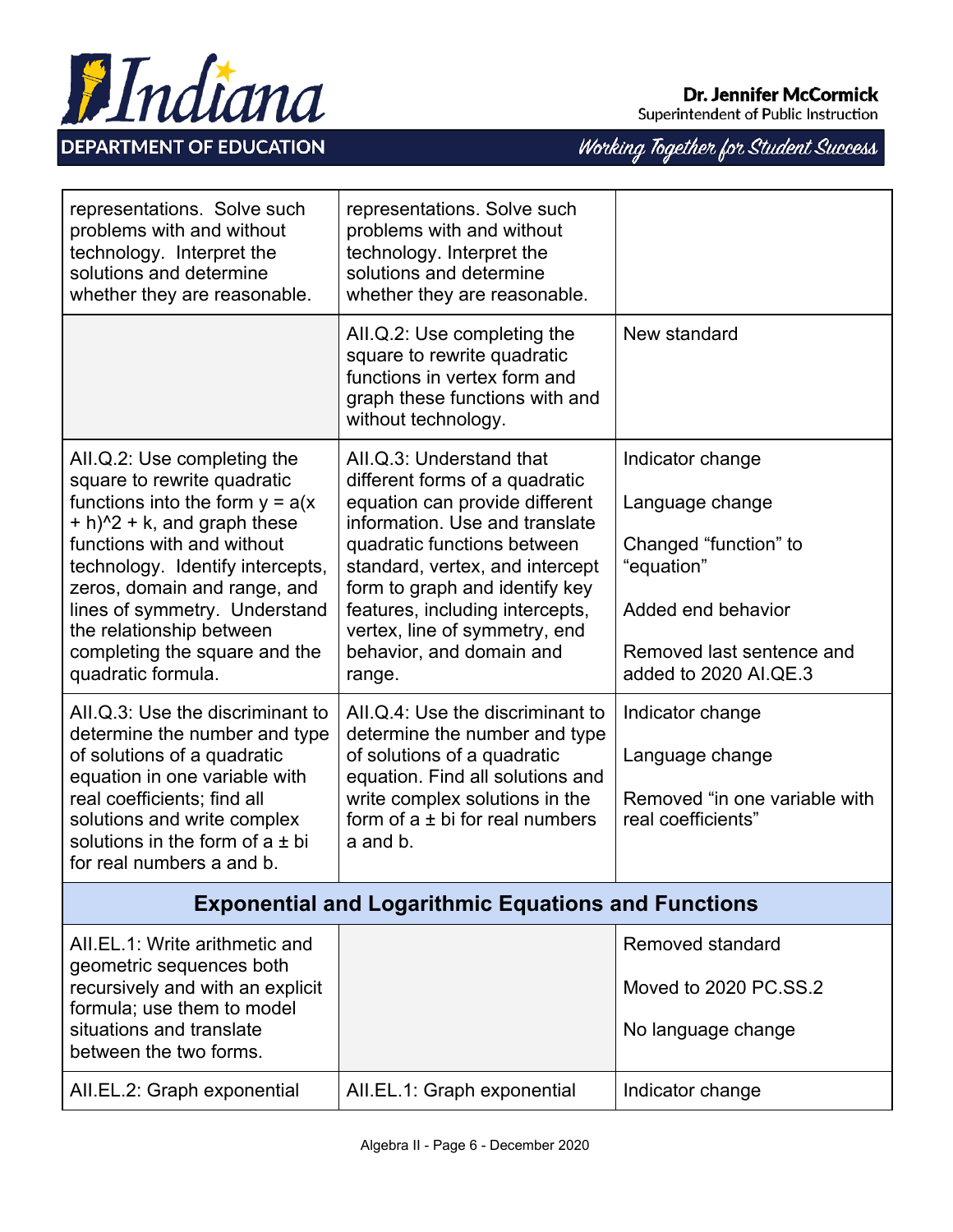



| representations. Solve such<br>problems with and without<br>technology. Interpret the<br>solutions and determine<br>whether they are reasonable.                                                                                                                                                                                                                  | representations. Solve such<br>problems with and without<br>technology. Interpret the<br>solutions and determine<br>whether they are reasonable.                                                                                                                                                                                             |                                                                                                                                                        |
|-------------------------------------------------------------------------------------------------------------------------------------------------------------------------------------------------------------------------------------------------------------------------------------------------------------------------------------------------------------------|----------------------------------------------------------------------------------------------------------------------------------------------------------------------------------------------------------------------------------------------------------------------------------------------------------------------------------------------|--------------------------------------------------------------------------------------------------------------------------------------------------------|
|                                                                                                                                                                                                                                                                                                                                                                   | All.Q.2: Use completing the<br>square to rewrite quadratic<br>functions in vertex form and<br>graph these functions with and<br>without technology.                                                                                                                                                                                          | New standard                                                                                                                                           |
| AII.Q.2: Use completing the<br>square to rewrite quadratic<br>functions into the form $y = a(x)$<br>$+ h$ <sup>2</sup> + k, and graph these<br>functions with and without<br>technology. Identify intercepts,<br>zeros, domain and range, and<br>lines of symmetry. Understand<br>the relationship between<br>completing the square and the<br>quadratic formula. | All.Q.3: Understand that<br>different forms of a quadratic<br>equation can provide different<br>information. Use and translate<br>quadratic functions between<br>standard, vertex, and intercept<br>form to graph and identify key<br>features, including intercepts,<br>vertex, line of symmetry, end<br>behavior, and domain and<br>range. | Indicator change<br>Language change<br>Changed "function" to<br>"equation"<br>Added end behavior<br>Removed last sentence and<br>added to 2020 AI.QE.3 |
| All.Q.3: Use the discriminant to<br>determine the number and type<br>of solutions of a quadratic<br>equation in one variable with<br>real coefficients; find all<br>solutions and write complex<br>solutions in the form of $a \pm bi$<br>for real numbers a and b.                                                                                               | All Q.4: Use the discriminant to<br>determine the number and type<br>of solutions of a quadratic<br>equation. Find all solutions and<br>write complex solutions in the<br>form of $a \pm bi$ for real numbers<br>a and b.                                                                                                                    | Indicator change<br>Language change<br>Removed "in one variable with<br>real coefficients"                                                             |
| <b>Exponential and Logarithmic Equations and Functions</b>                                                                                                                                                                                                                                                                                                        |                                                                                                                                                                                                                                                                                                                                              |                                                                                                                                                        |
| AII.EL.1: Write arithmetic and<br>geometric sequences both<br>recursively and with an explicit<br>formula; use them to model<br>situations and translate<br>between the two forms.                                                                                                                                                                                |                                                                                                                                                                                                                                                                                                                                              | Removed standard<br>Moved to 2020 PC.SS.2<br>No language change                                                                                        |
| AII.EL.2: Graph exponential                                                                                                                                                                                                                                                                                                                                       | AII.EL.1: Graph exponential                                                                                                                                                                                                                                                                                                                  | Indicator change                                                                                                                                       |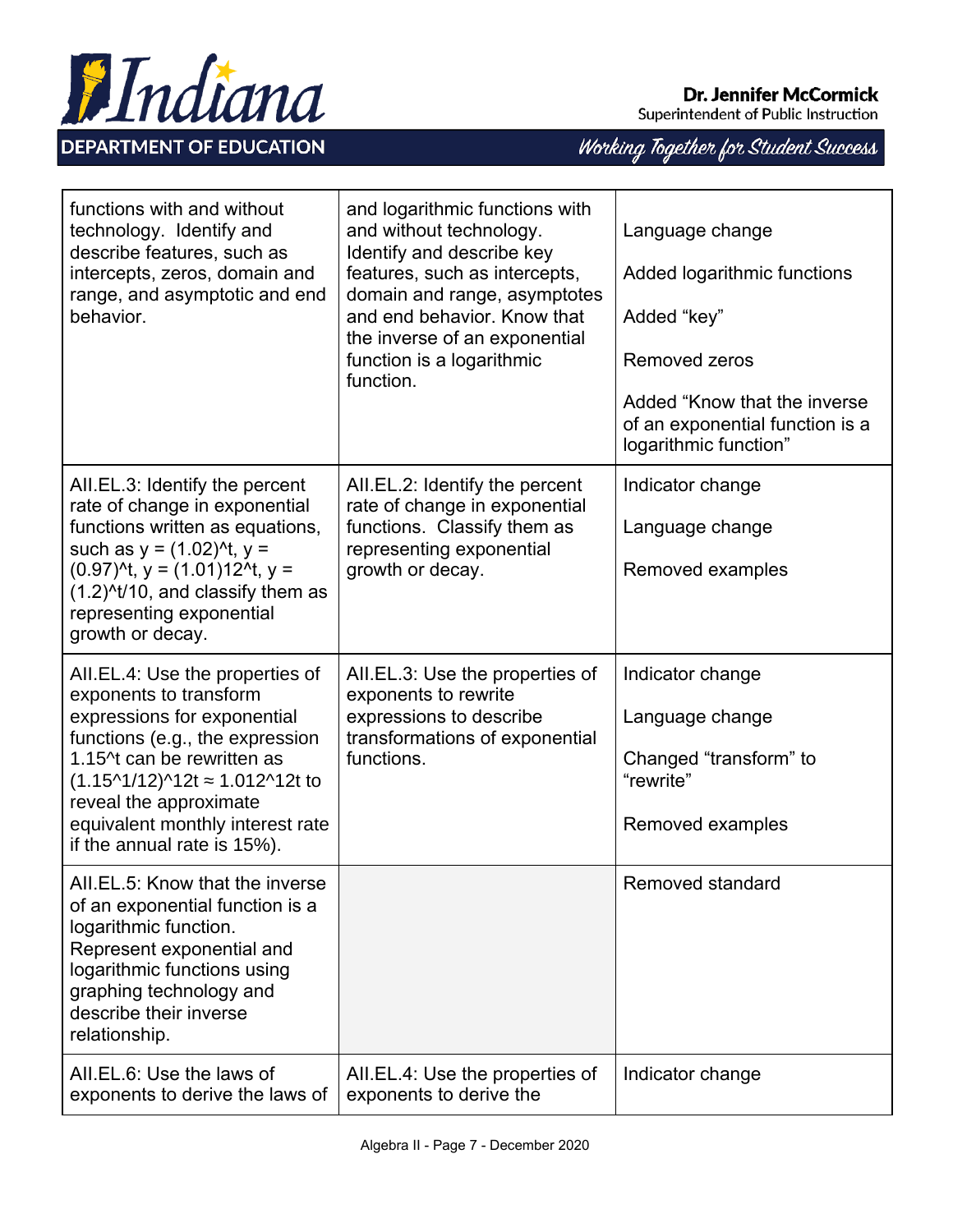

Superintendent of Public Instruction

| functions with and without<br>technology. Identify and<br>describe features, such as<br>intercepts, zeros, domain and<br>range, and asymptotic and end<br>behavior.                                                                                                                                                          | and logarithmic functions with<br>and without technology.<br>Identify and describe key<br>features, such as intercepts,<br>domain and range, asymptotes<br>and end behavior. Know that<br>the inverse of an exponential<br>function is a logarithmic<br>function. | Language change<br>Added logarithmic functions<br>Added "key"<br>Removed zeros<br>Added "Know that the inverse"<br>of an exponential function is a<br>logarithmic function" |
|------------------------------------------------------------------------------------------------------------------------------------------------------------------------------------------------------------------------------------------------------------------------------------------------------------------------------|-------------------------------------------------------------------------------------------------------------------------------------------------------------------------------------------------------------------------------------------------------------------|-----------------------------------------------------------------------------------------------------------------------------------------------------------------------------|
| AII.EL.3: Identify the percent<br>rate of change in exponential<br>functions written as equations,<br>such as $y = (1.02)^{t}$ , $y =$<br>$(0.97)^{4}$ , y = $(1.01)12^{4}$ , y =<br>$(1.2)^{4}/10$ , and classify them as<br>representing exponential<br>growth or decay.                                                   | AII.EL.2: Identify the percent<br>rate of change in exponential<br>functions. Classify them as<br>representing exponential<br>growth or decay.                                                                                                                    | Indicator change<br>Language change<br>Removed examples                                                                                                                     |
| AII.EL.4: Use the properties of<br>exponents to transform<br>expressions for exponential<br>functions (e.g., the expression<br>1.15^t can be rewritten as<br>$(1.15^{\text{A}}1/12)^{\text{A}}2t \approx 1.012^{\text{A}}2t$ to<br>reveal the approximate<br>equivalent monthly interest rate<br>if the annual rate is 15%). | AII.EL.3: Use the properties of<br>exponents to rewrite<br>expressions to describe<br>transformations of exponential<br>functions.                                                                                                                                | Indicator change<br>Language change<br>Changed "transform" to<br>"rewrite"<br>Removed examples                                                                              |
| AII.EL.5: Know that the inverse<br>of an exponential function is a<br>logarithmic function.<br>Represent exponential and<br>logarithmic functions using<br>graphing technology and<br>describe their inverse<br>relationship.                                                                                                |                                                                                                                                                                                                                                                                   | Removed standard                                                                                                                                                            |
| All.EL.6: Use the laws of<br>exponents to derive the laws of                                                                                                                                                                                                                                                                 | AII.EL.4: Use the properties of<br>exponents to derive the                                                                                                                                                                                                        | Indicator change                                                                                                                                                            |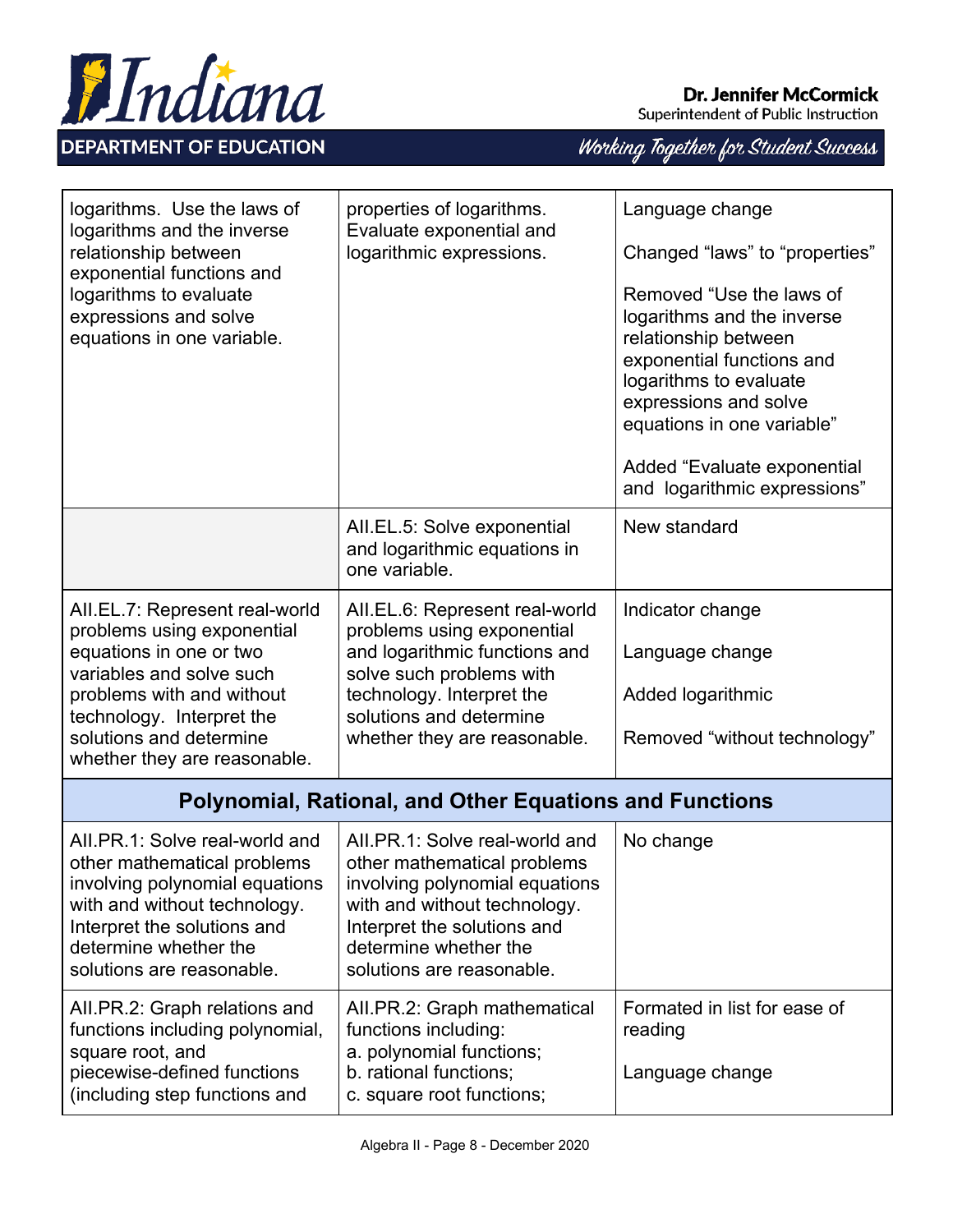

Superintendent of Public Instruction

| logarithms. Use the laws of<br>logarithms and the inverse<br>relationship between<br>exponential functions and<br>logarithms to evaluate<br>expressions and solve<br>equations in one variable.                                          | properties of logarithms.<br>Evaluate exponential and<br>logarithmic expressions.                                                                                                                                    | Language change<br>Changed "laws" to "properties"<br>Removed "Use the laws of<br>logarithms and the inverse<br>relationship between<br>exponential functions and<br>logarithms to evaluate<br>expressions and solve<br>equations in one variable"<br>Added "Evaluate exponential<br>and logarithmic expressions" |
|------------------------------------------------------------------------------------------------------------------------------------------------------------------------------------------------------------------------------------------|----------------------------------------------------------------------------------------------------------------------------------------------------------------------------------------------------------------------|------------------------------------------------------------------------------------------------------------------------------------------------------------------------------------------------------------------------------------------------------------------------------------------------------------------|
|                                                                                                                                                                                                                                          | AII.EL.5: Solve exponential<br>and logarithmic equations in<br>one variable.                                                                                                                                         | New standard                                                                                                                                                                                                                                                                                                     |
| AII.EL.7: Represent real-world<br>problems using exponential<br>equations in one or two<br>variables and solve such<br>problems with and without<br>technology. Interpret the<br>solutions and determine<br>whether they are reasonable. | AII.EL.6: Represent real-world<br>problems using exponential<br>and logarithmic functions and<br>solve such problems with<br>technology. Interpret the<br>solutions and determine<br>whether they are reasonable.    | Indicator change<br>Language change<br>Added logarithmic<br>Removed "without technology"                                                                                                                                                                                                                         |
|                                                                                                                                                                                                                                          | <b>Polynomial, Rational, and Other Equations and Functions</b>                                                                                                                                                       |                                                                                                                                                                                                                                                                                                                  |
| AII.PR.1: Solve real-world and<br>other mathematical problems<br>involving polynomial equations<br>with and without technology.<br>Interpret the solutions and<br>determine whether the<br>solutions are reasonable.                     | AII.PR.1: Solve real-world and<br>other mathematical problems<br>involving polynomial equations<br>with and without technology.<br>Interpret the solutions and<br>determine whether the<br>solutions are reasonable. | No change                                                                                                                                                                                                                                                                                                        |
| AII.PR.2: Graph relations and<br>functions including polynomial,<br>square root, and<br>piecewise-defined functions<br>(including step functions and                                                                                     | All.PR.2: Graph mathematical<br>functions including:<br>a. polynomial functions;<br>b. rational functions;<br>c. square root functions;                                                                              | Formated in list for ease of<br>reading<br>Language change                                                                                                                                                                                                                                                       |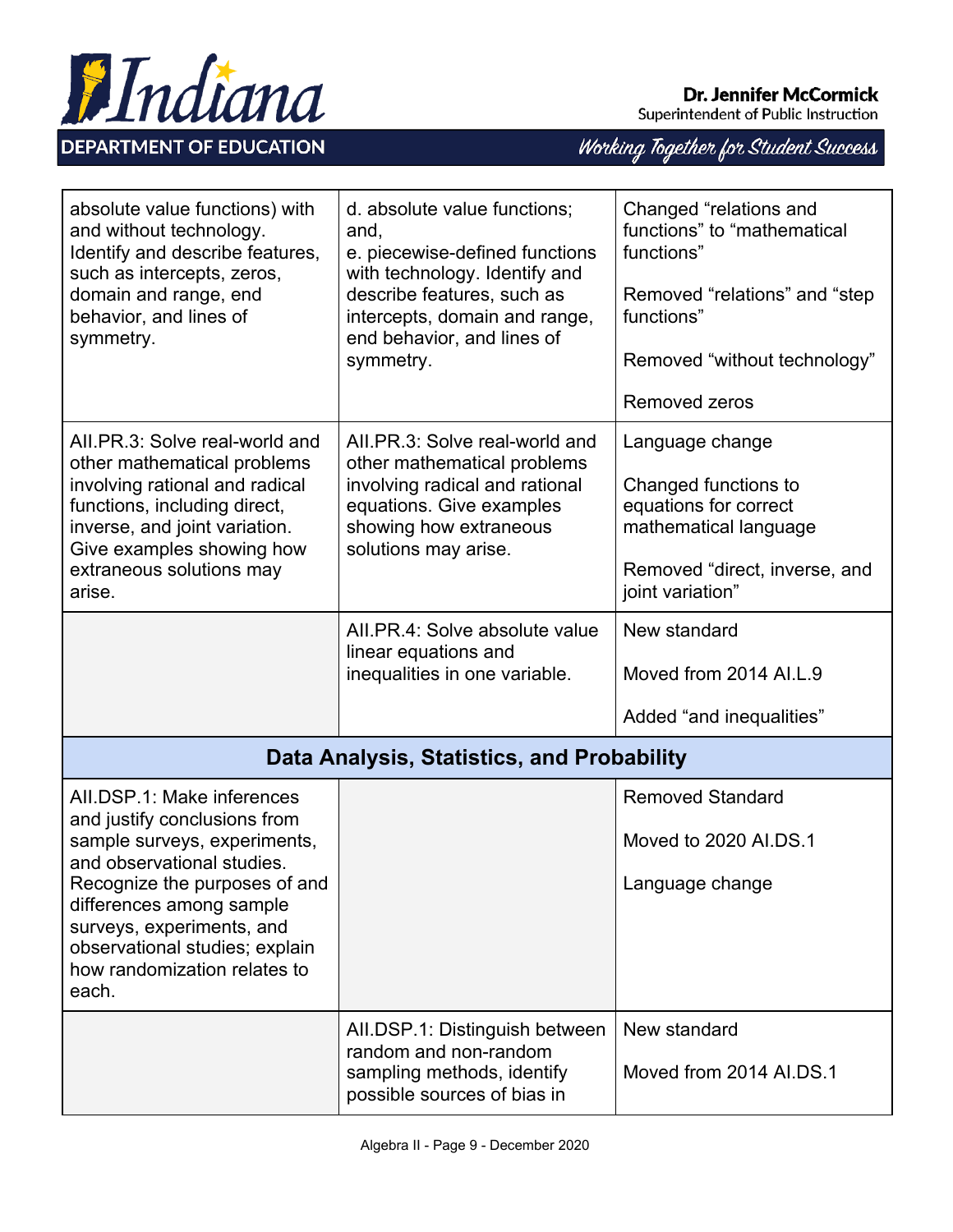

| absolute value functions) with<br>and without technology.<br>Identify and describe features,<br>such as intercepts, zeros,<br>domain and range, end<br>behavior, and lines of<br>symmetry.                                                                                                    | d. absolute value functions;<br>and,<br>e. piecewise-defined functions<br>with technology. Identify and<br>describe features, such as<br>intercepts, domain and range,<br>end behavior, and lines of<br>symmetry. | Changed "relations and<br>functions" to "mathematical<br>functions"<br>Removed "relations" and "step<br>functions"<br>Removed "without technology"<br>Removed zeros |
|-----------------------------------------------------------------------------------------------------------------------------------------------------------------------------------------------------------------------------------------------------------------------------------------------|-------------------------------------------------------------------------------------------------------------------------------------------------------------------------------------------------------------------|---------------------------------------------------------------------------------------------------------------------------------------------------------------------|
| All.PR.3: Solve real-world and<br>other mathematical problems<br>involving rational and radical<br>functions, including direct,<br>inverse, and joint variation.<br>Give examples showing how<br>extraneous solutions may<br>arise.                                                           | AII.PR.3: Solve real-world and<br>other mathematical problems<br>involving radical and rational<br>equations. Give examples<br>showing how extraneous<br>solutions may arise.                                     | Language change<br>Changed functions to<br>equations for correct<br>mathematical language<br>Removed "direct, inverse, and<br>joint variation"                      |
|                                                                                                                                                                                                                                                                                               | All.PR.4: Solve absolute value<br>linear equations and<br>inequalities in one variable.                                                                                                                           | New standard<br>Moved from 2014 AI.L.9<br>Added "and inequalities"                                                                                                  |
|                                                                                                                                                                                                                                                                                               | Data Analysis, Statistics, and Probability                                                                                                                                                                        |                                                                                                                                                                     |
| AII.DSP.1: Make inferences<br>and justify conclusions from<br>sample surveys, experiments,<br>and observational studies.<br>Recognize the purposes of and<br>differences among sample<br>surveys, experiments, and<br>observational studies; explain<br>how randomization relates to<br>each. |                                                                                                                                                                                                                   | <b>Removed Standard</b><br>Moved to 2020 AI.DS.1<br>Language change                                                                                                 |
|                                                                                                                                                                                                                                                                                               | All.DSP.1: Distinguish between<br>random and non-random<br>sampling methods, identify<br>possible sources of bias in                                                                                              | New standard<br>Moved from 2014 AI.DS.1                                                                                                                             |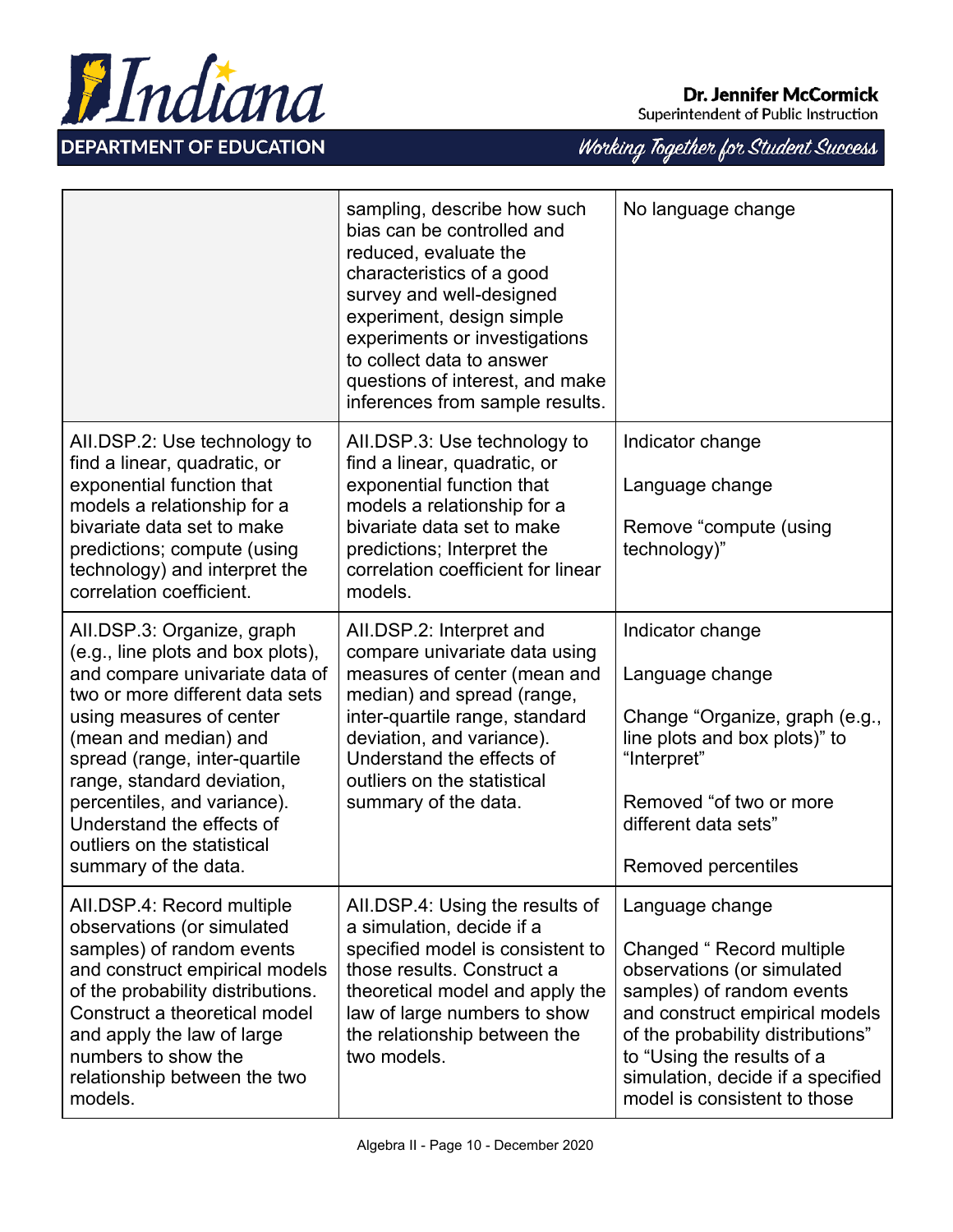

|                                                                                                                                                                                                                                                                                                                                                                             | sampling, describe how such<br>bias can be controlled and<br>reduced, evaluate the<br>characteristics of a good<br>survey and well-designed<br>experiment, design simple<br>experiments or investigations<br>to collect data to answer<br>questions of interest, and make<br>inferences from sample results. | No language change                                                                                                                                                                                                                                                               |
|-----------------------------------------------------------------------------------------------------------------------------------------------------------------------------------------------------------------------------------------------------------------------------------------------------------------------------------------------------------------------------|--------------------------------------------------------------------------------------------------------------------------------------------------------------------------------------------------------------------------------------------------------------------------------------------------------------|----------------------------------------------------------------------------------------------------------------------------------------------------------------------------------------------------------------------------------------------------------------------------------|
| AII.DSP.2: Use technology to<br>find a linear, quadratic, or<br>exponential function that<br>models a relationship for a<br>bivariate data set to make<br>predictions; compute (using<br>technology) and interpret the<br>correlation coefficient.                                                                                                                          | All.DSP.3: Use technology to<br>find a linear, quadratic, or<br>exponential function that<br>models a relationship for a<br>bivariate data set to make<br>predictions; Interpret the<br>correlation coefficient for linear<br>models.                                                                        | Indicator change<br>Language change<br>Remove "compute (using<br>technology)"                                                                                                                                                                                                    |
| AII.DSP.3: Organize, graph<br>(e.g., line plots and box plots),<br>and compare univariate data of<br>two or more different data sets<br>using measures of center<br>(mean and median) and<br>spread (range, inter-quartile<br>range, standard deviation,<br>percentiles, and variance).<br>Understand the effects of<br>outliers on the statistical<br>summary of the data. | AII.DSP.2: Interpret and<br>compare univariate data using<br>measures of center (mean and<br>median) and spread (range,<br>inter-quartile range, standard<br>deviation, and variance).<br>Understand the effects of<br>outliers on the statistical<br>summary of the data.                                   | Indicator change<br>Language change<br>Change "Organize, graph (e.g.,<br>line plots and box plots)" to<br>"Interpret"<br>Removed "of two or more"<br>different data sets"<br>Removed percentiles                                                                                 |
| AII.DSP.4: Record multiple<br>observations (or simulated<br>samples) of random events<br>and construct empirical models<br>of the probability distributions.<br>Construct a theoretical model<br>and apply the law of large<br>numbers to show the<br>relationship between the two<br>models.                                                                               | All.DSP.4: Using the results of<br>a simulation, decide if a<br>specified model is consistent to<br>those results. Construct a<br>theoretical model and apply the<br>law of large numbers to show<br>the relationship between the<br>two models.                                                             | Language change<br>Changed "Record multiple<br>observations (or simulated<br>samples) of random events<br>and construct empirical models<br>of the probability distributions"<br>to "Using the results of a<br>simulation, decide if a specified<br>model is consistent to those |